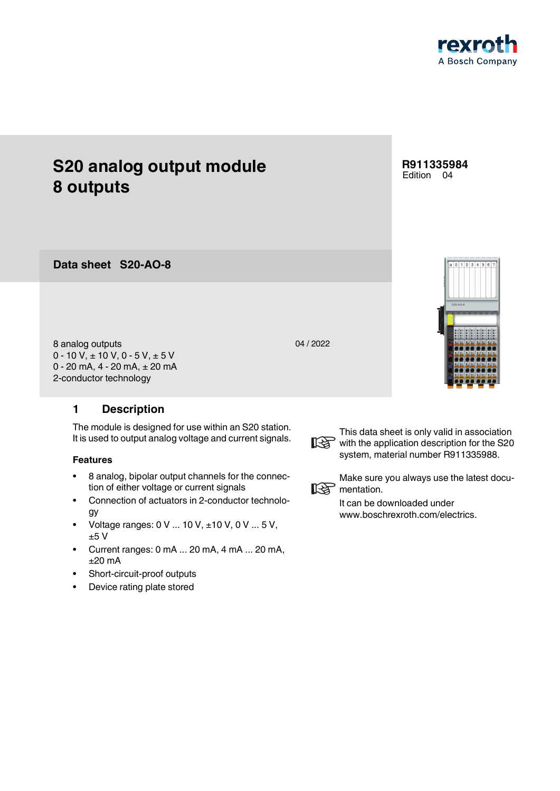

**S20-AO-8 Data sheet**

8 analog outputs 0 - 10 V,  $\pm$  10 V, 0 - 5 V,  $\pm$  5 V 0 - 20 mA, 4 - 20 mA, ± 20 mA 2-conductor technology

## <span id="page-0-0"></span>**1 Description**

The module is designed for use within an S20 station. It is used to output analog voltage and current signals.

## **Features**

- 8 analog, bipolar output channels for the connection of either voltage or current signals
- Connection of actuators in 2-conductor technology
- Voltage ranges:  $0 \vee ... 10 \vee +10 \vee 0 \vee ... 5 \vee$ , ±5 V
- Current ranges: 0 mA ... 20 mA, 4 mA ... 20 mA, ±20 mA
- Short-circuit-proof outputs
- Device rating plate stored





This data sheet is only valid in association with the application description for the S20 system, material number R911335988.



Make sure you always use the latest docu-**IRG** mentation.

> It can be downloaded under www.boschrexroth.com/electrics.

## **R911335984** Edition 04



04 / 2022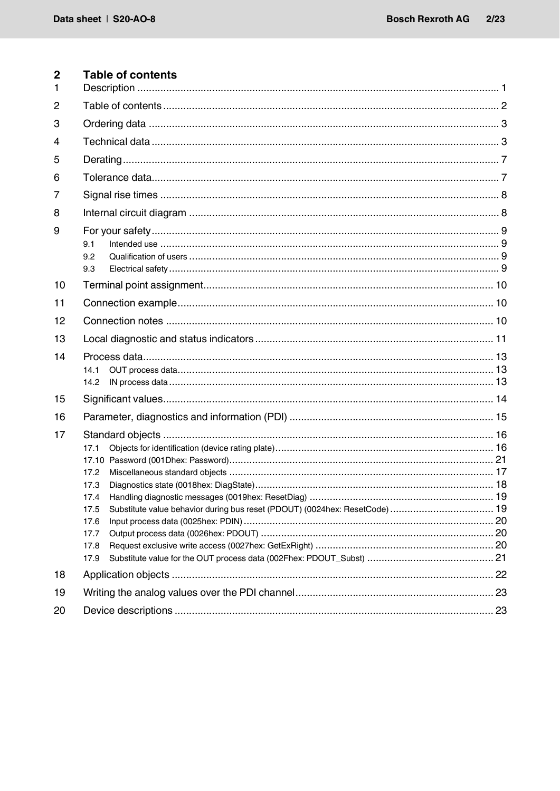<span id="page-1-0"></span>

| 2<br>1         | Table of contents                                                                                                                   |  |
|----------------|-------------------------------------------------------------------------------------------------------------------------------------|--|
| 2              |                                                                                                                                     |  |
| 3              |                                                                                                                                     |  |
|                |                                                                                                                                     |  |
| 4              |                                                                                                                                     |  |
| 5              |                                                                                                                                     |  |
| 6              |                                                                                                                                     |  |
| $\overline{7}$ |                                                                                                                                     |  |
| 8              |                                                                                                                                     |  |
| 9              | 9.1<br>9.2<br>9.3                                                                                                                   |  |
| 10             |                                                                                                                                     |  |
| 11             |                                                                                                                                     |  |
| 12             |                                                                                                                                     |  |
| 13             |                                                                                                                                     |  |
| 14             | 14.1<br>14.2                                                                                                                        |  |
| 15             |                                                                                                                                     |  |
| 16             |                                                                                                                                     |  |
| 17             | 17.1<br>17.2<br>17.3<br>17.4<br>Substitute value behavior during bus reset (PDOUT) (0024hex: ResetCode)  19<br>17.5<br>17.6<br>17.7 |  |
|                | 17.8                                                                                                                                |  |
|                | 17.9                                                                                                                                |  |
| 18             |                                                                                                                                     |  |
| 19             |                                                                                                                                     |  |
| 20             |                                                                                                                                     |  |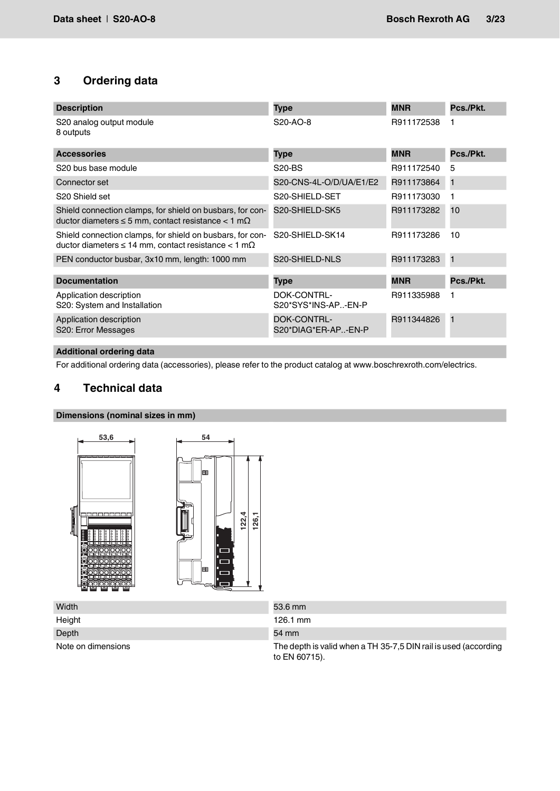# <span id="page-2-0"></span>**3 Ordering data**

| <b>Description</b>                                                                                                              | <b>Type</b>                               | <b>MNR</b> | Pcs./Pkt. |
|---------------------------------------------------------------------------------------------------------------------------------|-------------------------------------------|------------|-----------|
| S20 analog output module<br>8 outputs                                                                                           | S <sub>20</sub> -A <sub>O</sub> -8        | R911172538 |           |
| <b>Accessories</b>                                                                                                              | <b>Type</b>                               | <b>MNR</b> | Pcs./Pkt. |
| S20 bus base module                                                                                                             | <b>S20-BS</b>                             | R911172540 | 5         |
| Connector set                                                                                                                   | S20-CNS-4L-O/D/UA/E1/E2                   | R911173864 | 1         |
| S <sub>20</sub> Shield set                                                                                                      | S20-SHIELD-SET                            | R911173030 | 1         |
| Shield connection clamps, for shield on busbars, for con-<br>ductor diameters $\leq$ 5 mm, contact resistance $<$ 1 m $\Omega$  | S20-SHIELD-SK5                            | R911173282 | 10        |
| Shield connection clamps, for shield on busbars, for con-<br>ductor diameters $\leq 14$ mm, contact resistance $< 1$ m $\Omega$ | S20-SHIELD-SK14                           | R911173286 | 10        |
| PEN conductor busbar, 3x10 mm, length: 1000 mm                                                                                  | S20-SHIELD-NLS                            | R911173283 | 1         |
| <b>Documentation</b>                                                                                                            | <b>Type</b>                               | <b>MNR</b> | Pcs./Pkt. |
| Application description<br>S20: System and Installation                                                                         | DOK-CONTRL-<br>S20*SYS*INS-AP-EN-P        | R911335988 |           |
| Application description<br>S20: Error Messages                                                                                  | <b>DOK-CONTRL-</b><br>S20*DIAG*ER-AP-EN-P | R911344826 | 1         |

## **Additional ordering data**

For additional ordering data (accessories), please refer to the product catalog at www.boschrexroth.com/electrics.

## <span id="page-2-1"></span>**4 Technical data**

#### **Dimensions (nominal sizes in mm)**



| Width              | 53.6 mm                                                                          |
|--------------------|----------------------------------------------------------------------------------|
| Height             | $126.1 \text{ mm}$                                                               |
| Depth              | 54 mm                                                                            |
| Note on dimensions | The depth is valid when a TH 35-7,5 DIN rail is used (according<br>to EN 60715). |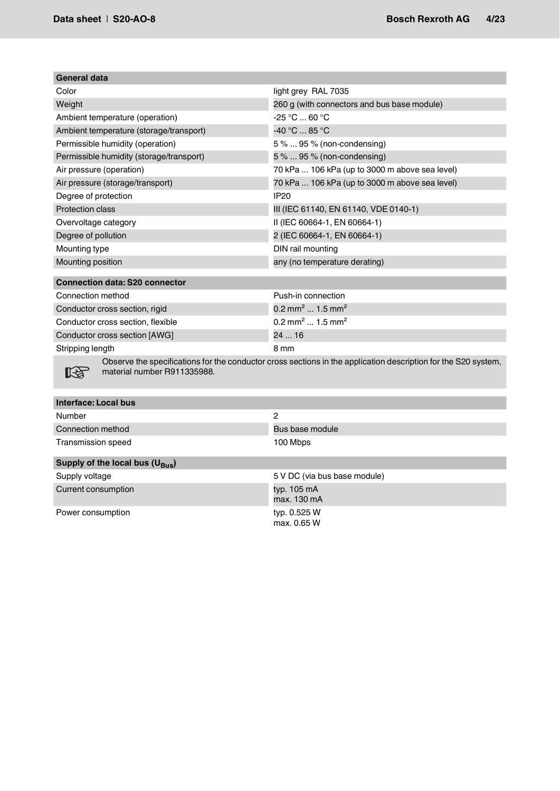| General data                             |                                                |
|------------------------------------------|------------------------------------------------|
| Color                                    | light grey RAL 7035                            |
| Weight                                   | 260 g (with connectors and bus base module)    |
| Ambient temperature (operation)          | $-25 °C  60 °C$                                |
| Ambient temperature (storage/transport)  | -40 °C  85 °C                                  |
| Permissible humidity (operation)         | 5 %  95 % (non-condensing)                     |
| Permissible humidity (storage/transport) | 5 %  95 % (non-condensing)                     |
| Air pressure (operation)                 | 70 kPa  106 kPa (up to 3000 m above sea level) |
| Air pressure (storage/transport)         | 70 kPa  106 kPa (up to 3000 m above sea level) |
| Degree of protection                     | IP20                                           |
| <b>Protection class</b>                  | III (IEC 61140, EN 61140, VDE 0140-1)          |
| Overvoltage category                     | II (IEC 60664-1, EN 60664-1)                   |
| Degree of pollution                      | 2 (IEC 60664-1, EN 60664-1)                    |
| Mounting type                            | DIN rail mounting                              |
| Mounting position                        | any (no temperature derating)                  |
|                                          |                                                |

| <b>Connection data: S20 connector</b> |                                         |
|---------------------------------------|-----------------------------------------|
| Connection method                     | Push-in connection                      |
| Conductor cross section, rigid        | 0.2 mm <sup>2</sup> 1.5 mm <sup>2</sup> |
| Conductor cross section, flexible     | 0.2 mm <sup>2</sup> 1.5 mm <sup>2</sup> |
| Conductor cross section [AWG]         | 2416                                    |
| Stripping length                      | 8 mm                                    |

 $\mathbb{R}$ 

Observe the specifications for the conductor cross sections in the application description for the S20 system, material number R911335988.

| Interface: Local bus                       |                              |
|--------------------------------------------|------------------------------|
| Number                                     | 2                            |
| Connection method                          | Bus base module              |
| <b>Transmission speed</b>                  | 100 Mbps                     |
| Supply of the local bus $(U_{\text{Bus}})$ |                              |
| Supply voltage                             | 5 V DC (via bus base module) |
| Current consumption                        | typ. 105 mA<br>max. 130 mA   |

max. 0.65 W

Power consumption typ. 0.525 W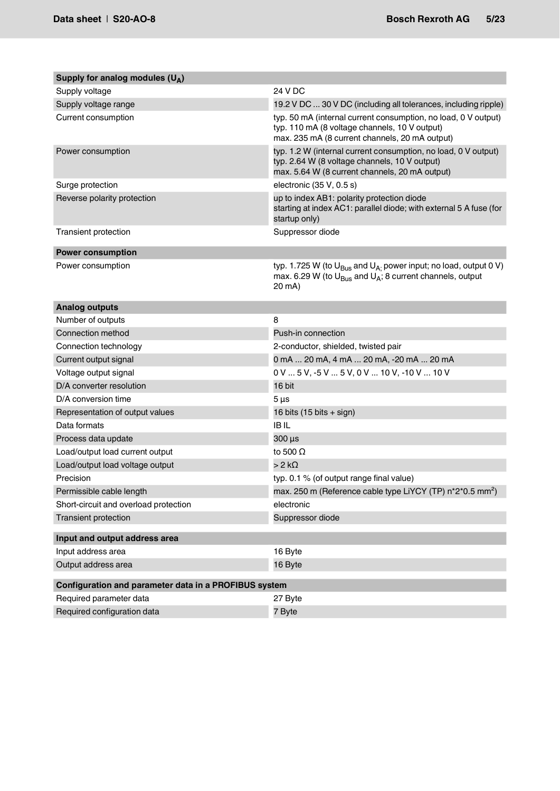| Supply for analog modules $(U_A)$                     |                                                                                                                                                                      |
|-------------------------------------------------------|----------------------------------------------------------------------------------------------------------------------------------------------------------------------|
| Supply voltage                                        | 24 V DC                                                                                                                                                              |
| Supply voltage range                                  | 19.2 V DC  30 V DC (including all tolerances, including ripple)                                                                                                      |
| Current consumption                                   | typ. 50 mA (internal current consumption, no load, 0 V output)<br>typ. 110 mA (8 voltage channels, 10 V output)<br>max. 235 mA (8 current channels, 20 mA output)    |
| Power consumption                                     | typ. 1.2 W (internal current consumption, no load, 0 V output)<br>typ. 2.64 W (8 voltage channels, 10 V output)<br>max. 5.64 W (8 current channels, 20 mA output)    |
| Surge protection                                      | electronic (35 V, 0.5 s)                                                                                                                                             |
| Reverse polarity protection                           | up to index AB1: polarity protection diode<br>starting at index AC1: parallel diode; with external 5 A fuse (for<br>startup only)                                    |
| <b>Transient protection</b>                           | Suppressor diode                                                                                                                                                     |
| <b>Power consumption</b>                              |                                                                                                                                                                      |
| Power consumption                                     | typ. 1.725 W (to $U_{\text{Bus}}$ and $U_{A}$ power input; no load, output 0 V)<br>max. 6.29 W (to $U_{\text{Bus}}$ and $U_A$ ; 8 current channels, output<br>20 mA) |
| <b>Analog outputs</b>                                 |                                                                                                                                                                      |
| Number of outputs                                     | 8                                                                                                                                                                    |
| Connection method                                     | Push-in connection                                                                                                                                                   |
| Connection technology                                 | 2-conductor, shielded, twisted pair                                                                                                                                  |
| Current output signal                                 | 0 mA  20 mA, 4 mA  20 mA, -20 mA  20 mA                                                                                                                              |
| Voltage output signal                                 | 0 V  5 V, -5 V  5 V, 0 V  10 V, -10 V  10 V                                                                                                                          |
| D/A converter resolution                              | 16 bit                                                                                                                                                               |
| D/A conversion time                                   | $5 \mu s$                                                                                                                                                            |
| Representation of output values                       | 16 bits $(15 \text{ bits} + \text{sign})$                                                                                                                            |
| Data formats                                          | <b>IBIL</b>                                                                                                                                                          |
| Process data update                                   | 300 µs                                                                                                                                                               |
| Load/output load current output                       | to 500 $\Omega$                                                                                                                                                      |
| Load/output load voltage output                       | $>2$ k $\Omega$                                                                                                                                                      |
| Precision                                             | typ. 0.1 % (of output range final value)                                                                                                                             |
| Permissible cable length                              | max. 250 m (Reference cable type LiYCY (TP) n*2*0.5 mm <sup>2</sup> )                                                                                                |
| Short-circuit and overload protection                 | electronic                                                                                                                                                           |
| <b>Transient protection</b>                           | Suppressor diode                                                                                                                                                     |
| Input and output address area                         |                                                                                                                                                                      |
| Input address area                                    | 16 Byte                                                                                                                                                              |
| Output address area                                   | 16 Byte                                                                                                                                                              |
| Configuration and parameter data in a PROFIBUS system |                                                                                                                                                                      |
| Required parameter data                               | 27 Byte                                                                                                                                                              |
| Required configuration data                           | 7 Byte                                                                                                                                                               |
|                                                       |                                                                                                                                                                      |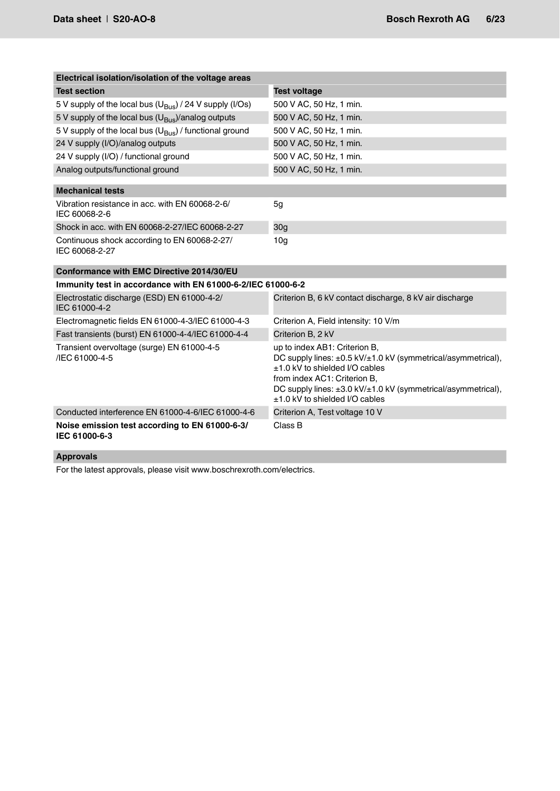| Electrical isolation/isolation of the voltage areas                 |                                                                                                                                                                                                                                                                              |  |  |
|---------------------------------------------------------------------|------------------------------------------------------------------------------------------------------------------------------------------------------------------------------------------------------------------------------------------------------------------------------|--|--|
| <b>Test section</b>                                                 | <b>Test voltage</b>                                                                                                                                                                                                                                                          |  |  |
| 5 V supply of the local bus $(U_{\text{Bus}})$ / 24 V supply (I/Os) | 500 V AC, 50 Hz, 1 min.                                                                                                                                                                                                                                                      |  |  |
| 5 V supply of the local bus $(U_{\text{Bus}})/$ analog outputs      | 500 V AC, 50 Hz, 1 min.                                                                                                                                                                                                                                                      |  |  |
| 5 V supply of the local bus $(U_{\text{Bus}})$ / functional ground  | 500 V AC, 50 Hz, 1 min.                                                                                                                                                                                                                                                      |  |  |
| 24 V supply (I/O)/analog outputs                                    | 500 V AC, 50 Hz, 1 min.                                                                                                                                                                                                                                                      |  |  |
| 24 V supply (I/O) / functional ground                               | 500 V AC, 50 Hz, 1 min.                                                                                                                                                                                                                                                      |  |  |
| Analog outputs/functional ground                                    | 500 V AC, 50 Hz, 1 min.                                                                                                                                                                                                                                                      |  |  |
| <b>Mechanical tests</b>                                             |                                                                                                                                                                                                                                                                              |  |  |
| Vibration resistance in acc. with EN 60068-2-6/<br>IEC 60068-2-6    | 5g                                                                                                                                                                                                                                                                           |  |  |
| Shock in acc. with EN 60068-2-27/IEC 60068-2-27                     | 30 <sub>g</sub>                                                                                                                                                                                                                                                              |  |  |
| Continuous shock according to EN 60068-2-27/<br>IEC 60068-2-27      | 10 <sub>g</sub>                                                                                                                                                                                                                                                              |  |  |
| Conformance with EMC Directive 2014/30/EU                           |                                                                                                                                                                                                                                                                              |  |  |
| Immunity test in accordance with EN 61000-6-2/IEC 61000-6-2         |                                                                                                                                                                                                                                                                              |  |  |
| Electrostatic discharge (ESD) EN 61000-4-2/<br>IEC 61000-4-2        | Criterion B, 6 kV contact discharge, 8 kV air discharge                                                                                                                                                                                                                      |  |  |
| Electromagnetic fields EN 61000-4-3/IEC 61000-4-3                   | Criterion A, Field intensity: 10 V/m                                                                                                                                                                                                                                         |  |  |
| Fast transients (burst) EN 61000-4-4/IEC 61000-4-4                  | Criterion B, 2 kV                                                                                                                                                                                                                                                            |  |  |
| Transient overvoltage (surge) EN 61000-4-5<br>/IEC 61000-4-5        | up to index AB1: Criterion B,<br>DC supply lines: ±0.5 kV/±1.0 kV (symmetrical/asymmetrical),<br>±1.0 kV to shielded I/O cables<br>from index AC1: Criterion B,<br>DC supply lines: $\pm 3.0$ kV/ $\pm 1.0$ kV (symmetrical/asymmetrical),<br>±1.0 kV to shielded I/O cables |  |  |
| Conducted interference EN 61000-4-6/IEC 61000-4-6                   | Criterion A, Test voltage 10 V                                                                                                                                                                                                                                               |  |  |
| Noise emission test according to EN 61000-6-3/<br>IEC 61000-6-3     | Class B                                                                                                                                                                                                                                                                      |  |  |

## **Approvals**

For the latest approvals, please visit www.boschrexroth.com/electrics.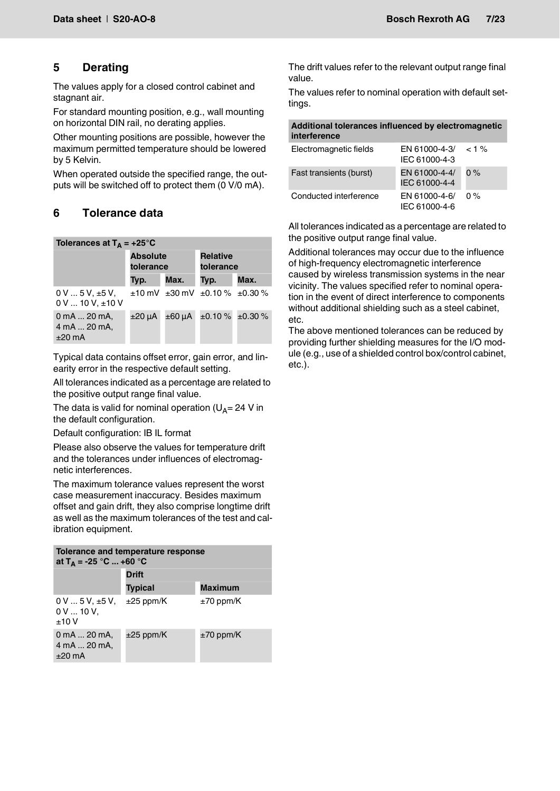# <span id="page-6-0"></span>**5 Derating**

The values apply for a closed control cabinet and stagnant air.

For standard mounting position, e.g., wall mounting on horizontal DIN rail, no derating applies.

Other mounting positions are possible, however the maximum permitted temperature should be lowered by 5 Kelvin.

When operated outside the specified range, the outputs will be switched off to protect them (0 V/0 mA).

# <span id="page-6-1"></span>**6 Tolerance data**

| Tolerances at $T_A = +25^{\circ}C$                        |                              |        |                                                   |                           |  |
|-----------------------------------------------------------|------------------------------|--------|---------------------------------------------------|---------------------------|--|
|                                                           | <b>Absolute</b><br>tolerance |        | <b>Relative</b><br>tolerance                      |                           |  |
|                                                           | Typ.                         | Max.   | Typ.                                              | Max.                      |  |
| $0V5V. \pm 5V.$<br>$0 \text{ V}$ 10 V, $\pm 10 \text{ V}$ |                              |        | $\pm 10$ mV $\pm 30$ mV $\pm 0.10$ % $\pm 0.30$ % |                           |  |
| 0 mA  20 mA,<br>4 mA  20 mA,<br>$±20$ mA                  | ±20 uA                       | ±60 µA |                                                   | $\pm 0.10\%$ $\pm 0.30\%$ |  |

Typical data contains offset error, gain error, and linearity error in the respective default setting.

All tolerances indicated as a percentage are related to the positive output range final value.

The data is valid for nominal operation ( $U_{\Delta}= 24$  V in the default configuration.

Default configuration: IB IL format

Please also observe the values for temperature drift and the tolerances under influences of electromagnetic interferences.

The maximum tolerance values represent the worst case measurement inaccuracy. Besides maximum offset and gain drift, they also comprise longtime drift as well as the maximum tolerances of the test and calibration equipment.

| Tolerance and temperature response<br>at $T_A = -25$ °C  +60 °C  |                |                |  |  |
|------------------------------------------------------------------|----------------|----------------|--|--|
|                                                                  | <b>Drift</b>   |                |  |  |
|                                                                  | <b>Typical</b> | <b>Maximum</b> |  |  |
| $0 \text{ V} \dots 5 \text{ V}$ , ±5 V,<br>$0 V  10 V$ .<br>±10V | $\pm 25$ ppm/K | $\pm 70$ ppm/K |  |  |
| 0 mA  20 mA,<br>4 mA  20 mA,<br>$+20 \text{ mA}$                 | $\pm 25$ ppm/K | $\pm 70$ ppm/K |  |  |

The drift values refer to the relevant output range final value.

The values refer to nominal operation with default settings.

|                     | Additional tolerances influenced by electromagnetic |
|---------------------|-----------------------------------------------------|
| <i>interference</i> |                                                     |

| Electromagnetic fields  | EN 61000-4-3/ $<$ 1 %<br>IEC 61000-4-3 |       |
|-------------------------|----------------------------------------|-------|
| Fast transients (burst) | EN 61000-4-4/<br>IEC 61000-4-4         | $0\%$ |
| Conducted interference  | EN 61000-4-6/<br>IEC 61000-4-6         | $0\%$ |

All tolerances indicated as a percentage are related to the positive output range final value.

Additional tolerances may occur due to the influence of high-frequency electromagnetic interference caused by wireless transmission systems in the near vicinity. The values specified refer to nominal operation in the event of direct interference to components without additional shielding such as a steel cabinet, etc.

The above mentioned tolerances can be reduced by providing further shielding measures for the I/O module (e.g., use of a shielded control box/control cabinet, etc.).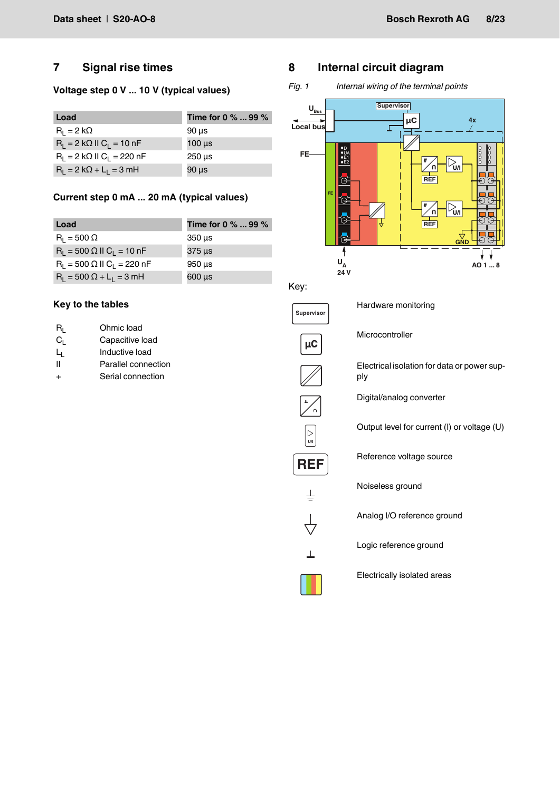## <span id="page-7-0"></span>**7 Signal rise times**

## **Voltage step 0 V ... 10 V (typical values)**

| Load                                     | Time for 0 $\%$ 99 $\%$   |
|------------------------------------------|---------------------------|
| $R_1 = 2 k\Omega$                        | $90 \mu s$                |
| $R_1 = 2 k\Omega$ II $C_1 = 10 nF$       | $100 \mu s$               |
| $R_1 = 2 k\Omega \parallel C_1 = 220 nF$ | $250 \text{ }\mu\text{s}$ |
| $R_1 = 2 k\Omega + L_1 = 3 mH$           | $90 \mu s$                |

## **Current step 0 mA ... 20 mA (typical values)**

| Load                                          | Time for 0 $\%$ 99 $\%$  |
|-----------------------------------------------|--------------------------|
| $R_1 = 500 \Omega$                            | $350 \,\mathrm{us}$      |
| $R_1 = 500 \Omega$ II $C_1 = 10$ nF           | 375 µs                   |
| $R_1 = 500 \Omega$ II C <sub>1</sub> = 220 nF | $950 \,\mathrm{us}$      |
| $R_1 = 500 \Omega + L_1 = 3 mH$               | $600 \,\mathrm{\upmu s}$ |

## **Key to the tables**

| Rı. | Ohmic load          |
|-----|---------------------|
| Cı. | Capacitive load     |
| Lı. | Inductive load      |
| н   | Parallel connection |
| +   | Serial connection   |

# <span id="page-7-1"></span>**8 Internal circuit diagram**

*Fig. 1 Internal wiring of the terminal points*



Key:



Hardware monitoring

Microcontroller

Electrical isolation for data or power supply

Digital/analog converter

Output level for current (I) or voltage (U)

Reference voltage source

Noiseless ground

Analog I/O reference ground

Logic reference ground

Electrically isolated areas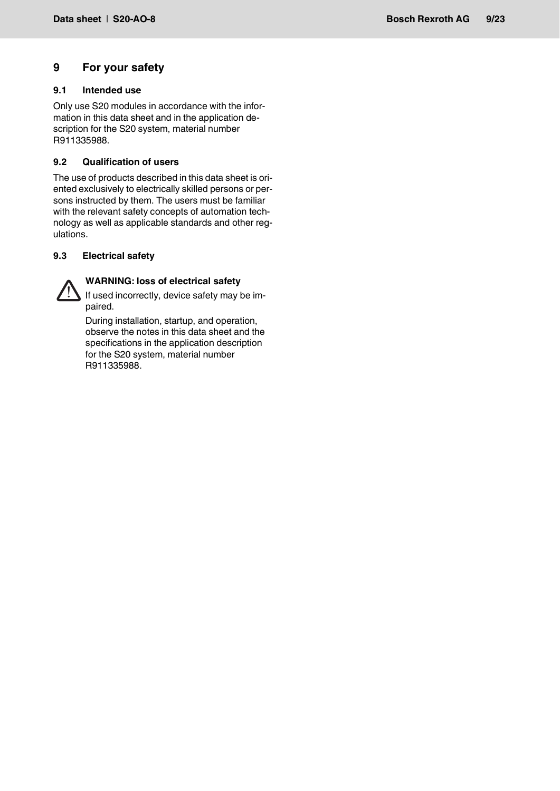# <span id="page-8-0"></span>**9 For your safety**

## <span id="page-8-1"></span>**9.1 Intended use**

Only use S20 modules in accordance with the information in this data sheet and in the application description for the S20 system, material number R911335988.

## <span id="page-8-2"></span>**9.2 Qualification of users**

The use of products described in this data sheet is oriented exclusively to electrically skilled persons or persons instructed by them. The users must be familiar with the relevant safety concepts of automation technology as well as applicable standards and other regulations.

## <span id="page-8-3"></span>**9.3 Electrical safety**



# **WARNING: loss of electrical safety**

If used incorrectly, device safety may be impaired.

During installation, startup, and operation, observe the notes in this data sheet and the specifications in the application description for the S20 system, material number R911335988.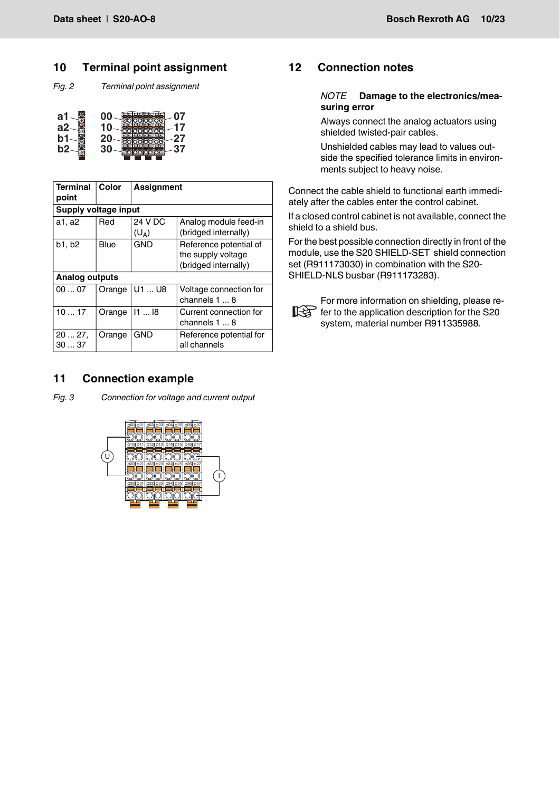## <span id="page-9-0"></span>**10 Terminal point assignment**

*Fig. 2 Terminal point assignment*

| a1  | 07                                                 |
|-----|----------------------------------------------------|
| ล2  | 1015<br>ò.<br>lots<br>l٥<br>$Q1-4$<br>17           |
| 'n. | loss.<br>loż<br>loza<br>$-$<br>004<br>$-022$<br>27 |
| h2  | 37                                                 |

| <b>Terminal</b><br>point | Color  | <b>Assignment</b>  |                                                                      |  |  |  |  |
|--------------------------|--------|--------------------|----------------------------------------------------------------------|--|--|--|--|
| Supply voltage input     |        |                    |                                                                      |  |  |  |  |
| a1, a2                   | Red    | 24 V DC<br>$(U_A)$ | Analog module feed-in<br>(bridged internally)                        |  |  |  |  |
| b1, b2                   | Blue   | <b>GND</b>         | Reference potential of<br>the supply voltage<br>(bridged internally) |  |  |  |  |
| <b>Analog outputs</b>    |        |                    |                                                                      |  |  |  |  |
| 0007                     | Orange | U1  U8             | Voltage connection for<br>channels $1 \dots 8$                       |  |  |  |  |
| 1017                     | Orange | 1118               | Current connection for<br>channels 1  8                              |  |  |  |  |
| 2027,<br>3037            | Orange | <b>GND</b>         | Reference potential for<br>all channels                              |  |  |  |  |

## <span id="page-9-1"></span>**11 Connection example**

*Fig. 3 Connection for voltage and current output*



# <span id="page-9-2"></span>**12 Connection notes**

#### *NOTE* **Damage to the electronics/measuring error**

Always connect the analog actuators using shielded twisted-pair cables.

Unshielded cables may lead to values outside the specified tolerance limits in environments subject to heavy noise.

Connect the cable shield to functional earth immediately after the cables enter the control cabinet.

If a closed control cabinet is not available, connect the shield to a shield bus.

For the best possible connection directly in front of the module, use the S20 SHIELD-SET shield connection set (R911173030) in combination with the S20- SHIELD-NLS busbar (R911173283).



For more information on shielding, please refer to the application description for the S20 system, material number R911335988.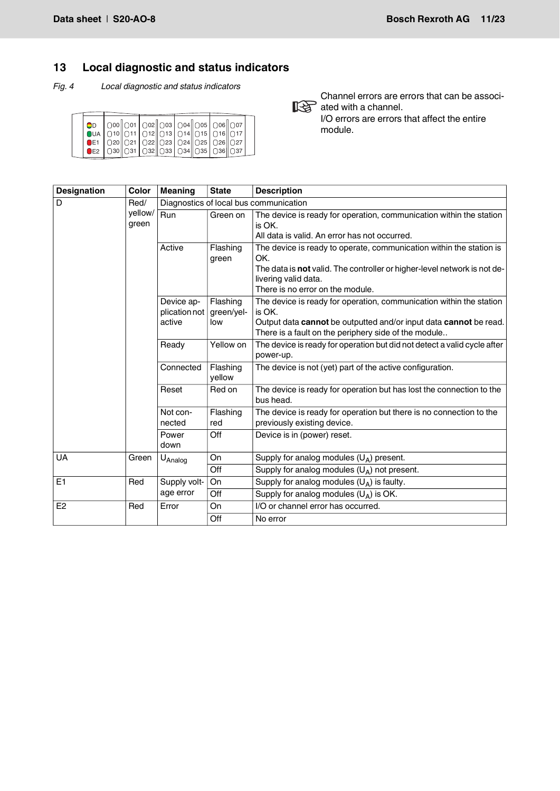# <span id="page-10-0"></span>**13 Local diagnostic and status indicators**

*Fig. 4 Local diagnostic and status indicators*

| OD                                                  |  |  |  |  |  |
|-----------------------------------------------------|--|--|--|--|--|
|                                                     |  |  |  |  |  |
| ●E1   020  021   022  023   024  025   026  027     |  |  |  |  |  |
| ●E2   ○30   ○31   ○32   ○33   ○34   ○35   ○36   ○37 |  |  |  |  |  |
|                                                     |  |  |  |  |  |

Channel errors are errors that can be associated with a channel. I/O errors are errors that affect the entire module.

| <b>Designation</b> | Color            | <b>Meaning</b>                                                         | <b>State</b>       | <b>Description</b>                                                                                                                                                                                                 |  |  |  |  |  |
|--------------------|------------------|------------------------------------------------------------------------|--------------------|--------------------------------------------------------------------------------------------------------------------------------------------------------------------------------------------------------------------|--|--|--|--|--|
| D                  | Red/             |                                                                        |                    | Diagnostics of local bus communication                                                                                                                                                                             |  |  |  |  |  |
|                    | yellow/<br>green | Run                                                                    | Green on           | The device is ready for operation, communication within the station<br>is OK.<br>All data is valid. An error has not occurred.                                                                                     |  |  |  |  |  |
|                    |                  | Active                                                                 | Flashing<br>green  | The device is ready to operate, communication within the station is<br>OK.<br>The data is not valid. The controller or higher-level network is not de-<br>livering valid data.<br>There is no error on the module. |  |  |  |  |  |
|                    |                  | Flashing<br>Device ap-<br>plication not<br>green/yel-<br>active<br>low |                    | The device is ready for operation, communication within the station<br>is OK.<br>Output data cannot be outputted and/or input data cannot be read.<br>There is a fault on the periphery side of the module         |  |  |  |  |  |
|                    |                  | Ready                                                                  | Yellow on          | The device is ready for operation but did not detect a valid cycle after<br>power-up.                                                                                                                              |  |  |  |  |  |
|                    |                  | Connected                                                              | Flashing<br>yellow | The device is not (yet) part of the active configuration.                                                                                                                                                          |  |  |  |  |  |
|                    |                  | Reset                                                                  | Red on             | The device is ready for operation but has lost the connection to the<br>bus head.                                                                                                                                  |  |  |  |  |  |
|                    |                  | Not con-<br>nected                                                     | Flashing<br>red    | The device is ready for operation but there is no connection to the<br>previously existing device.                                                                                                                 |  |  |  |  |  |
|                    |                  | Power<br>down                                                          | Off                | Device is in (power) reset.                                                                                                                                                                                        |  |  |  |  |  |
| <b>UA</b>          | Green            | U <sub>Analog</sub>                                                    | On                 | Supply for analog modules $(U_A)$ present.                                                                                                                                                                         |  |  |  |  |  |
|                    |                  |                                                                        | Off                | Supply for analog modules $(U_A)$ not present.                                                                                                                                                                     |  |  |  |  |  |
| E <sub>1</sub>     | Red              | Supply volt-                                                           | On                 | Supply for analog modules $(U_A)$ is faulty.                                                                                                                                                                       |  |  |  |  |  |
|                    |                  | age error                                                              | Off                | Supply for analog modules $(U_A)$ is OK.                                                                                                                                                                           |  |  |  |  |  |
| E <sub>2</sub>     | Red              | Error                                                                  | On                 | I/O or channel error has occurred.                                                                                                                                                                                 |  |  |  |  |  |
|                    |                  |                                                                        | Off                | No error                                                                                                                                                                                                           |  |  |  |  |  |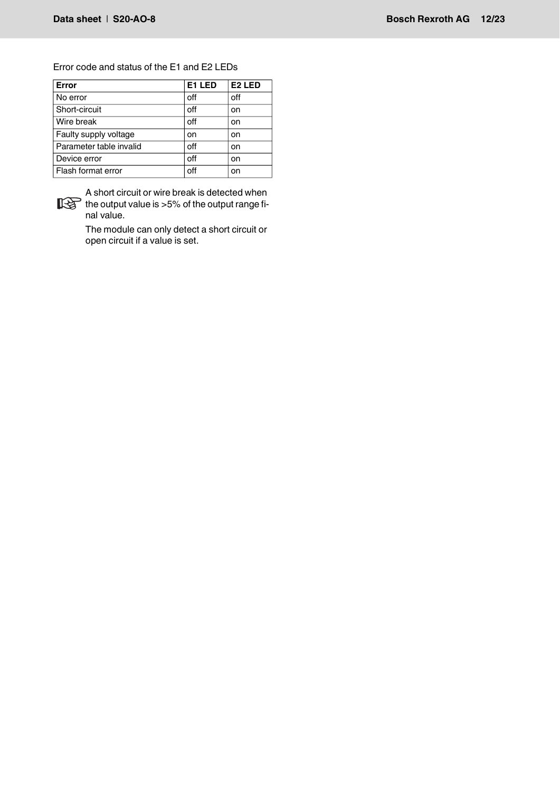## Error code and status of the E1 and E2 LEDs

| Error                   | E1 LED | E <sub>2</sub> LED |
|-------------------------|--------|--------------------|
| No error                | off    | off                |
| Short-circuit           | off    | on                 |
| Wire break              | off    | on                 |
| Faulty supply voltage   | on     | on                 |
| Parameter table invalid | off    | on                 |
| Device error            | off    | on                 |
| Flash format error      | off    | on                 |



A short circuit or wire break is detected when the output value is >5% of the output range final value.

The module can only detect a short circuit or open circuit if a value is set.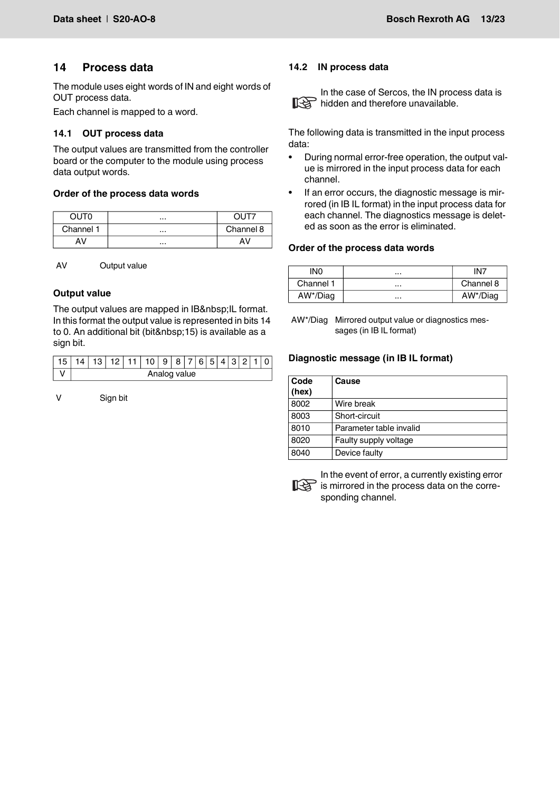## <span id="page-12-0"></span>**14 Process data**

The module uses eight words of IN and eight words of OUT process data.

Each channel is mapped to a word.

#### <span id="page-12-1"></span>**14.1 OUT process data**

The output values are transmitted from the controller board or the computer to the module using process data output words.

#### **Order of the process data words**

| חדו ור    |               |
|-----------|---------------|
| Channel 1 | <br>Channel 8 |
|           |               |

AV Output value

## **Output value**

The output values are mapped in IB IL format. In this format the output value is represented in bits 14 to 0. An additional bit (bit 15) is available as a sign bit.

| $\Lambda$ | 13 L         |  |  | $12$  11 10 9 8 7 6 5 4 3 2 1 |  |  |  |  |  |  |  |  |  |  |
|-----------|--------------|--|--|-------------------------------|--|--|--|--|--|--|--|--|--|--|
|           | Analog value |  |  |                               |  |  |  |  |  |  |  |  |  |  |

V Sign bit

#### <span id="page-12-2"></span>**14.2 IN process data**



In the case of Sercos, the IN process data is **Red** hidden and therefore unavailable.

The following data is transmitted in the input process data:

- During normal error-free operation, the output value is mirrored in the input process data for each channel.
- If an error occurs, the diagnostic message is mirrored (in IB IL format) in the input process data for each channel. The diagnostics message is deleted as soon as the error is eliminated.

#### **Order of the process data words**

| IN0       | <br>IN7       |
|-----------|---------------|
| Channel 1 | <br>Channel 8 |
| AW*/Diag  | <br>AW*/Diag  |

AW\*/Diag Mirrored output value or diagnostics messages (in IB IL format)

#### **Diagnostic message (in IB IL format)**

| Code<br>(hex) | Cause                   |
|---------------|-------------------------|
| 8002          | Wire break              |
| 8003          | Short-circuit           |
| 8010          | Parameter table invalid |
| 8020          | Faulty supply voltage   |
| 8040          | Device faulty           |



In the event of error, a currently existing error is mirrored in the process data on the corresponding channel.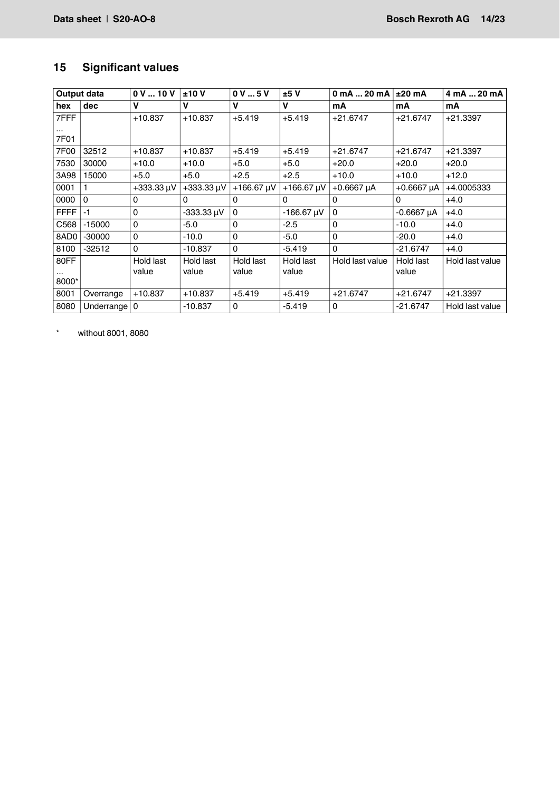# <span id="page-13-0"></span>**15 Significant values**

|                  | Output data    | 0V10V           | ±10V            | 0V5V            | ±5V             | $0 \text{ mA}  20 \text{ mA}$ | $±20$ mA        | 4 mA  20 mA     |
|------------------|----------------|-----------------|-----------------|-----------------|-----------------|-------------------------------|-----------------|-----------------|
| hex              | dec            | v               | v               | v               | v               | mA                            | mA              | mA              |
| 7FFF             |                | $+10.837$       | $+10.837$       | $+5.419$        | $+5.419$        | $+21.6747$                    | $+21.6747$      | $+21.3397$      |
| $\cdots$<br>7F01 |                |                 |                 |                 |                 |                               |                 |                 |
| 7F00             | 32512          | $+10.837$       | $+10.837$       | $+5.419$        | $+5.419$        | $+21.6747$                    | $+21.6747$      | $+21.3397$      |
| 7530             | 30000          | $+10.0$         | $+10.0$         | $+5.0$          | $+5.0$          | $+20.0$                       | $+20.0$         | $+20.0$         |
| 3A98             | 15000          | $+5.0$          | $+5.0$          | $+2.5$          | $+2.5$          | $+10.0$                       | $+10.0$         | $+12.0$         |
| 0001             |                | $+333.33 \mu V$ | $+333.33 \mu V$ | $+166.67 \mu V$ | $+166.67 \mu V$ | $+0.6667 \mu A$               | $+0.6667 \mu A$ | +4.0005333      |
| 0000             | $\Omega$       | 0               | 0               | 0               | $\Omega$        | $\mathbf{0}$                  | $\mathbf{0}$    | $+4.0$          |
| <b>FFFF</b>      | $-1$           | 0               | $-333.33 \mu V$ | $\Omega$        | $-166.67 \mu V$ | $\Omega$                      | $-0.6667 \mu A$ | $+4.0$          |
| C <sub>568</sub> | $-15000$       | 0               | $-5.0$          | 0               | $-2.5$          | 0                             | $-10.0$         | $+4.0$          |
| 8AD <sub>0</sub> | $-30000$       | 0               | $-10.0$         | 0               | $-5.0$          | $\mathbf 0$                   | $-20.0$         | $+4.0$          |
| 8100             | $-32512$       | $\Omega$        | $-10.837$       | $\Omega$        | $-5.419$        | $\Omega$                      | $-21.6747$      | $+4.0$          |
| 80FF             |                | Hold last       | Hold last       | Hold last       | Hold last       | Hold last value               | Hold last       | Hold last value |
| .<br>8000*       |                | value           | value           | value           | value           |                               | value           |                 |
| 8001             | Overrange      | $+10.837$       | $+10.837$       | $+5.419$        | $+5.419$        | $+21.6747$                    | $+21.6747$      | $+21.3397$      |
| 8080             | Underrange   0 |                 | $-10.837$       | 0               | $-5.419$        | $\Omega$                      | $-21.6747$      | Hold last value |

\* without 8001, 8080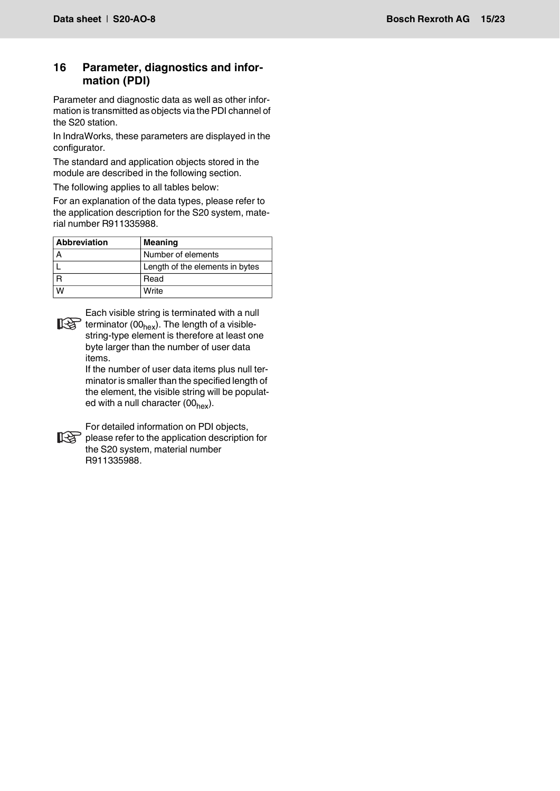## <span id="page-14-0"></span>**16 Parameter, diagnostics and information (PDI)**

Parameter and diagnostic data as well as other information is transmitted as objects via the PDI channel of the S20 station.

In IndraWorks, these parameters are displayed in the configurator.

The standard and application objects stored in the module are described in the following section.

The following applies to all tables below:

For an explanation of the data types, please refer to the application description for the S20 system, material number R911335988.

| <b>Abbreviation</b> | <b>Meaning</b>                  |
|---------------------|---------------------------------|
|                     | Number of elements              |
|                     | Length of the elements in bytes |
|                     | Read                            |
| W                   | Write                           |

Each visible string is terminated with a null terminator  $(00<sub>hex</sub>)$ . The length of a visiblestring-type element is therefore at least one byte larger than the number of user data items.

> If the number of user data items plus null terminator is smaller than the specified length of the element, the visible string will be populated with a null character  $(00_{hex})$ .



For detailed information on PDI objects, please refer to the application description for the S20 system, material number R911335988.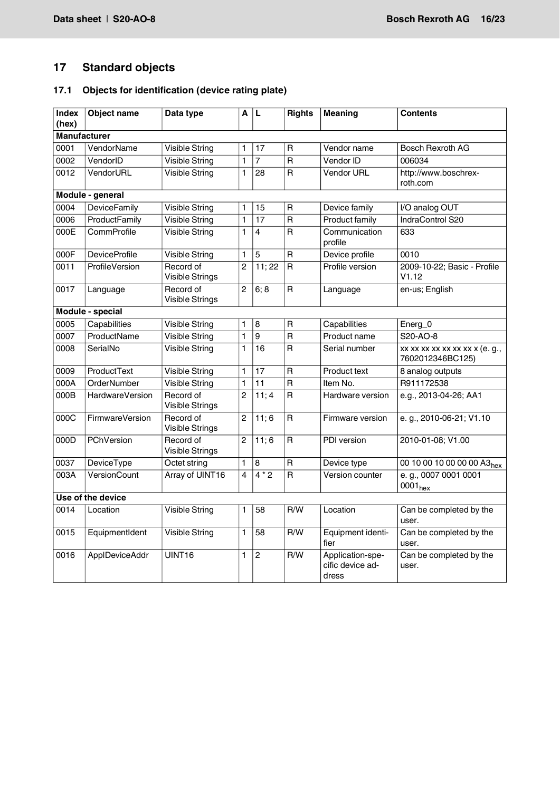# <span id="page-15-0"></span>**17 Standard objects**

# <span id="page-15-1"></span>**17.1 Objects for identification (device rating plate)**

| Index<br>(hex) | Object name            | Data type                           | A              | L              | <b>Rights</b>           | <b>Meaning</b>                                | <b>Contents</b>                                    |
|----------------|------------------------|-------------------------------------|----------------|----------------|-------------------------|-----------------------------------------------|----------------------------------------------------|
|                | <b>Manufacturer</b>    |                                     |                |                |                         |                                               |                                                    |
| 0001           | VendorName             | <b>Visible String</b>               | 1              | 17             | R                       | Vendor name                                   | Bosch Rexroth AG                                   |
| 0002           | VendorID               | Visible String                      | 1              | $\overline{7}$ | R                       | Vendor ID                                     | 006034                                             |
| 0012           | VendorURL              | <b>Visible String</b>               | 1              | 28             | $\overline{R}$          | <b>Vendor URL</b>                             | http://www.boschrex-<br>roth.com                   |
|                | Module - general       |                                     |                |                |                         |                                               |                                                    |
| 0004           | <b>DeviceFamily</b>    | <b>Visible String</b>               | 1              | 15             | R                       | Device family                                 | I/O analog OUT                                     |
| 0006           | ProductFamily          | <b>Visible String</b>               | 1              | 17             | $\overline{R}$          | Product family                                | IndraControl S20                                   |
| 000E           | CommProfile            | <b>Visible String</b>               | 1              | 4              | $\overline{\mathsf{R}}$ | Communication<br>profile                      | 633                                                |
| 000F           | <b>DeviceProfile</b>   | <b>Visible String</b>               | 1              | 5              | $\overline{\mathsf{R}}$ | Device profile                                | 0010                                               |
| 0011           | ProfileVersion         | Record of<br><b>Visible Strings</b> | $\overline{2}$ | 11;22          | $\mathsf{R}$            | Profile version                               | 2009-10-22; Basic - Profile<br>V1.12               |
| 0017           | Language               | Record of<br>Visible Strings        | 2              | 6:8            | R                       | Language                                      | en-us; English                                     |
|                | Module - special       |                                     |                |                |                         |                                               |                                                    |
| 0005           | Capabilities           | <b>Visible String</b>               | 1              | 8              | $\mathsf{R}$            | Capabilities                                  | Energ_0                                            |
| 0007           | ProductName            | <b>Visible String</b>               | 1              | 9              | $\overline{\mathsf{R}}$ | Product name                                  | S20-AO-8                                           |
| 0008           | SerialNo               | <b>Visible String</b>               | 1              | 16             | $\overline{R}$          | Serial number                                 | xx xx xx xx xx xx xx x (e. g.,<br>7602012346BC125) |
| 0009           | ProductText            | <b>Visible String</b>               | $\mathbf{1}$   | 17             | $\overline{\mathsf{R}}$ | Product text                                  | 8 analog outputs                                   |
| 000A           | <b>OrderNumber</b>     | <b>Visible String</b>               | 1              | 11             | $\overline{\mathsf{R}}$ | Item No.                                      | R911172538                                         |
| 000B           | <b>HardwareVersion</b> | Record of<br><b>Visible Strings</b> | $\overline{2}$ | 11; 4          | R                       | Hardware version                              | e.g., 2013-04-26; AA1                              |
| 000C           | FirmwareVersion        | Record of<br><b>Visible Strings</b> | $\overline{2}$ | 11;6           | $\mathsf{R}$            | Firmware version                              | e. g., 2010-06-21; V1.10                           |
| 000D           | PChVersion             | Record of<br><b>Visible Strings</b> | 2              | 11;6           | $\overline{\mathsf{R}}$ | PDI version                                   | 2010-01-08; V1.00                                  |
| 0037           | DeviceType             | Octet string                        | 1              | 8              | $\mathsf{R}$            | Device type                                   | 00 10 00 10 00 00 00 A3 <sub>hex</sub>             |
| 003A           | VersionCount           | Array of UINT16                     | 4              | $4*2$          | $\overline{\mathsf{R}}$ | Version counter                               | e. g., 0007 0001 0001<br>0001 <sub>hex</sub>       |
|                | Use of the device      |                                     |                |                |                         |                                               |                                                    |
| 0014           | Location               | <b>Visible String</b>               | 1              | 58             | R/W                     | Location                                      | Can be completed by the<br>user.                   |
| 0015           | EquipmentIdent         | <b>Visible String</b>               | 1              | 58             | R/W                     | Equipment identi-<br>fier                     | Can be completed by the<br>user.                   |
| 0016           | ApplDeviceAddr         | UINT16                              | 1              | $\overline{2}$ | R/W                     | Application-spe-<br>cific device ad-<br>dress | Can be completed by the<br>user.                   |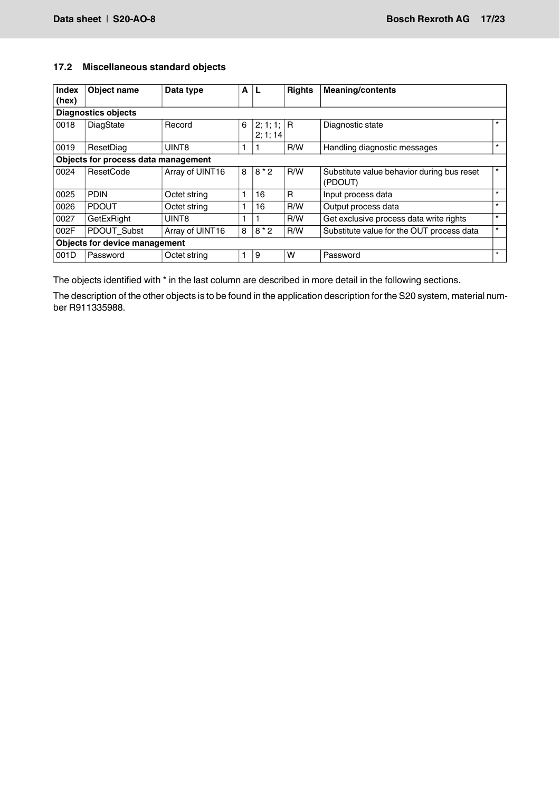## <span id="page-16-0"></span>**17.2 Miscellaneous standard objects**

| Index<br>(hex) | Object name                          | Data type       | A |                       | <b>Rights</b> | <b>Meaning/contents</b>                               |         |
|----------------|--------------------------------------|-----------------|---|-----------------------|---------------|-------------------------------------------------------|---------|
|                | <b>Diagnostics objects</b>           |                 |   |                       |               |                                                       |         |
| 0018           | DiagState                            | Record          | 6 | 2; 1; 1;  R<br>2:1:14 |               | Diagnostic state                                      | $\star$ |
| 0019           | ResetDiag                            | UINT8           |   |                       | R/W           | Handling diagnostic messages                          | $\star$ |
|                | Objects for process data management  |                 |   |                       |               |                                                       |         |
| 0024           | <b>ResetCode</b>                     | Array of UINT16 | 8 | $8*2$                 | R/W           | Substitute value behavior during bus reset<br>(PDOUT) | $\star$ |
| 0025           | <b>PDIN</b>                          | Octet string    |   | 16                    | R             | Input process data                                    | $\star$ |
| 0026           | <b>PDOUT</b>                         | Octet string    |   | 16                    | R/W           | Output process data                                   | $\star$ |
| 0027           | GetExRight                           | UINT8           |   |                       | R/W           | Get exclusive process data write rights               | $\star$ |
| 002F           | PDOUT_Subst                          | Array of UINT16 | 8 | $8*2$                 | R/W           | Substitute value for the OUT process data             | $\star$ |
|                | <b>Objects for device management</b> |                 |   |                       |               |                                                       |         |
| 001D           | Password                             | Octet string    |   | 9                     | w             | Password                                              | $\star$ |

The objects identified with \* in the last column are described in more detail in the following sections.

The description of the other objects is to be found in the application description for the S20 system, material number R911335988.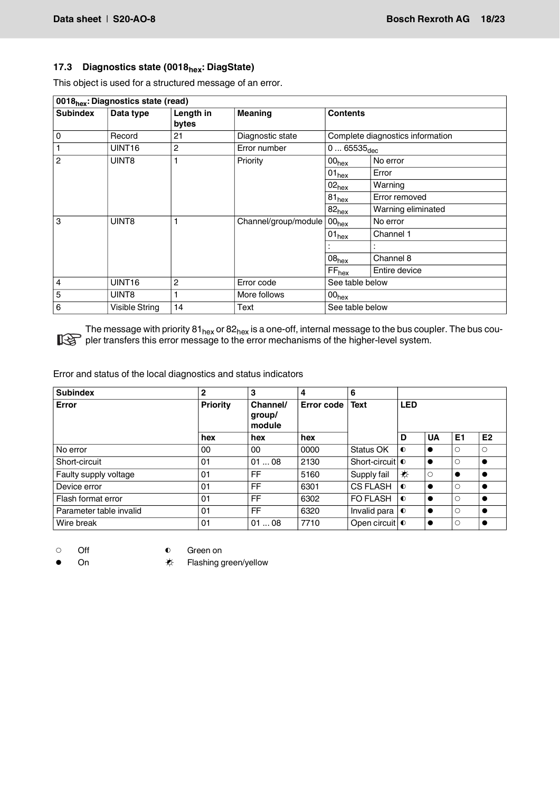## <span id="page-17-0"></span>**17.3** Diagnostics state (0018<sub>hex</sub>: DiagState)

This object is used for a structured message of an error.

| 0018 <sub>hex</sub> : Diagnostics state (read) |                    |                    |                      |                       |                                  |  |  |
|------------------------------------------------|--------------------|--------------------|----------------------|-----------------------|----------------------------------|--|--|
| <b>Subindex</b>                                | Data type          | Length in<br>bytes | <b>Meaning</b>       | <b>Contents</b>       |                                  |  |  |
| $\mathbf 0$                                    | Record             | 21                 | Diagnostic state     |                       | Complete diagnostics information |  |  |
| $\mathbf{1}$                                   | UINT <sub>16</sub> | 2                  | Error number         | $065535_{\text{dec}}$ |                                  |  |  |
| $\overline{2}$                                 | UINT8              | 1                  | Priority             | 00 <sub>hex</sub>     | No error                         |  |  |
|                                                |                    |                    |                      | $101_{\text{hex}}$    | Error                            |  |  |
|                                                |                    |                    |                      | $02_{\text{hex}}$     | Warning                          |  |  |
|                                                |                    |                    |                      | $81_{hex}$            | Error removed                    |  |  |
|                                                |                    |                    |                      | 82 <sub>hex</sub>     | Warning eliminated               |  |  |
| 3                                              | UINT8              | 1                  | Channel/group/module | 00 <sub>hex</sub>     | No error                         |  |  |
|                                                |                    |                    |                      | $01_{\text{hex}}$     | Channel 1                        |  |  |
|                                                |                    |                    |                      |                       |                                  |  |  |
|                                                |                    |                    |                      | 08 <sub>hex</sub>     | Channel 8                        |  |  |
|                                                |                    |                    |                      | FF <sub>hex</sub>     | Entire device                    |  |  |
| 4                                              | UINT <sub>16</sub> | 2                  | Error code           | See table below       |                                  |  |  |
| 5                                              | UINT8              | 1                  | More follows         | 00 <sub>hex</sub>     |                                  |  |  |
| 6                                              | Visible String     | 14                 | Text                 | See table below       |                                  |  |  |

The message with priority 81 $_{\sf hex}$  or 82 $_{\sf hex}$  is a one-off, internal message to the bus coupler. The bus coupler transfers this error message to the error mechanisms of the higher-level system.

Error and status of the local diagnostics and status indicators

| <b>Subindex</b>         | $\mathbf{2}$    | 3                            | 4          | 6                          |            |           |                |                |
|-------------------------|-----------------|------------------------------|------------|----------------------------|------------|-----------|----------------|----------------|
| Error                   | <b>Priority</b> | Channel/<br>group/<br>module | Error code | <b>Text</b>                | <b>LED</b> |           |                |                |
|                         | hex             | hex                          | hex        |                            | D          | <b>UA</b> | E <sub>1</sub> | E <sub>2</sub> |
| No error                | 00              | 00                           | 0000       | Status OK                  | $\bullet$  |           | О              | $\circ$        |
| Short-circuit           | 01              | 0108                         | 2130       | Short-circuit <sup>o</sup> |            | $\bullet$ | $\circ$        |                |
| Faulty supply voltage   | 01              | FF.                          | 5160       | Supply fail                | ₩          | $\circ$   |                |                |
| Device error            | 01              | FF.                          | 6301       | <b>CS FLASH</b>            | $\bullet$  | $\bullet$ | $\circ$        |                |
| Flash format error      | 01              | <b>FF</b>                    | 6302       | FO FLASH                   | $\bullet$  | $\bullet$ | O              |                |
| Parameter table invalid | 01              | <b>FF</b>                    | 6320       | Invalid para               | $\bullet$  | $\bullet$ | $\circ$        |                |
| Wire break              | 01              | 0108                         | 7710       | Open circuit 0             |            | $\bullet$ | O              |                |

O Off **O** Green on

On  $\diamondsuit$  Flashing green/yellow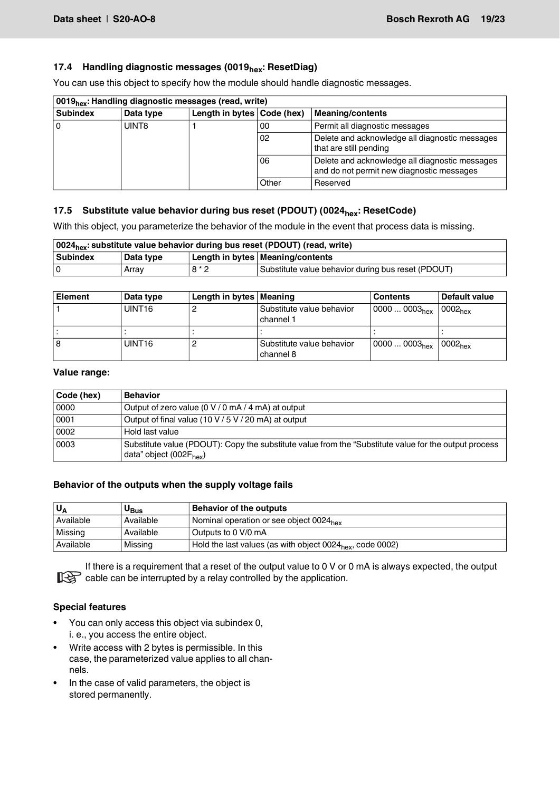## <span id="page-18-0"></span>17.4 **Handling diagnostic messages (0019<sub>hex</sub>: ResetDiag)**

You can use this object to specify how the module should handle diagnostic messages.

| 0019 <sub>hex</sub> : Handling diagnostic messages (read, write) |           |                            |       |                                                                                             |  |  |  |
|------------------------------------------------------------------|-----------|----------------------------|-------|---------------------------------------------------------------------------------------------|--|--|--|
| <b>Subindex</b>                                                  | Data type | Length in bytes Code (hex) |       | <b>Meaning/contents</b>                                                                     |  |  |  |
|                                                                  | UINT8     |                            | 00    | Permit all diagnostic messages                                                              |  |  |  |
|                                                                  |           |                            | 02    | Delete and acknowledge all diagnostic messages<br>that are still pending                    |  |  |  |
|                                                                  |           |                            | 06    | Delete and acknowledge all diagnostic messages<br>and do not permit new diagnostic messages |  |  |  |
|                                                                  |           |                            | Other | Reserved                                                                                    |  |  |  |

## <span id="page-18-1"></span>**17.5** Substitute value behavior during bus reset (PDOUT) (0024<sub>hex</sub>: ResetCode)

With this object, you parameterize the behavior of the module in the event that process data is missing.

| 0024 <sub>hex</sub> : substitute value behavior during bus reset (PDOUT) (read, write) |             |       |                                                    |  |  |
|----------------------------------------------------------------------------------------|-------------|-------|----------------------------------------------------|--|--|
| Subindex                                                                               | l Data tvpe |       | Length in bytes   Meaning/contents                 |  |  |
|                                                                                        | Arrav       | $8*2$ | Substitute value behavior during bus reset (PDOUT) |  |  |

| <b>Element</b> | Data type          | Length in bytes   Meaning |                                        | <b>Contents</b>                         | Default value |
|----------------|--------------------|---------------------------|----------------------------------------|-----------------------------------------|---------------|
|                | UINT <sub>16</sub> |                           | Substitute value behavior<br>channel 1 | $100000003_{hex}$ 0002 <sub>hex</sub>   |               |
|                |                    |                           |                                        |                                         |               |
| 18             | UINT <sub>16</sub> |                           | Substitute value behavior<br>channel 8 | $100000003_{hex}$   0002 <sub>hex</sub> |               |

#### **Value range:**

| Code (hex) | <b>Behavior</b>                                                                                                                              |
|------------|----------------------------------------------------------------------------------------------------------------------------------------------|
| 0000       | Output of zero value (0 V / 0 mA / 4 mA) at output                                                                                           |
| 0001       | Output of final value (10 V / 5 V / 20 mA) at output                                                                                         |
| 0002       | Hold last value                                                                                                                              |
| 0003       | Substitute value (PDOUT): Copy the substitute value from the "Substitute value for the output process<br>data" object (002F <sub>hex</sub> ) |

#### **Behavior of the outputs when the supply voltage fails**

| ٍ ∪       | U <sub>Bus</sub> | Behavior of the outputs                                               |  |  |
|-----------|------------------|-----------------------------------------------------------------------|--|--|
| Available | Available        | I Nominal operation or see object 0024 <sub>hex</sub>                 |  |  |
| Missing   | Available        | Outputs to 0 V/0 mA                                                   |  |  |
| Available | Missina          | Hold the last values (as with object 0024 <sub>hex</sub> , code 0002) |  |  |

If there is a requirement that a reset of the output value to 0 V or 0 mA is always expected, the output cable can be interrupted by a relay controlled by the application.

#### **Special features**

- You can only access this object via subindex 0, i. e., you access the entire object.
- Write access with 2 bytes is permissible. In this case, the parameterized value applies to all channels.
- In the case of valid parameters, the object is stored permanently.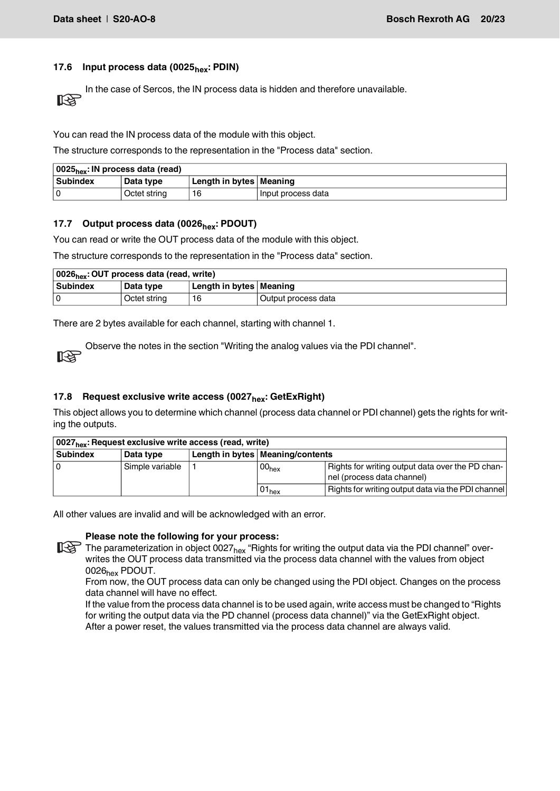## <span id="page-19-0"></span>17.6 **Input process data (0025<sub>hex</sub>: PDIN)**

In the case of Sercos, the IN process data is hidden and therefore unavailable. िक्र

You can read the IN process data of the module with this object.

The structure corresponds to the representation in the "Process data" section.

| $\vert$ 0025 <sub>hex</sub> : IN process data (read) |                  |                           |                      |  |  |  |
|------------------------------------------------------|------------------|---------------------------|----------------------|--|--|--|
| <b>Subindex</b>                                      | <b>Data type</b> | Length in bytes   Meaning |                      |  |  |  |
|                                                      | Octet string     | 16                        | I Input process data |  |  |  |

#### <span id="page-19-1"></span>**17.7 Output process data (0026hex: PDOUT)**

You can read or write the OUT process data of the module with this object.

The structure corresponds to the representation in the "Process data" section.

| 0026 <sub>hex</sub> : OUT process data (read, write) |              |                           |                     |  |  |  |  |
|------------------------------------------------------|--------------|---------------------------|---------------------|--|--|--|--|
| <b>Subindex</b>                                      | Data type    | Length in bytes   Meaning |                     |  |  |  |  |
| l O                                                  | Octet string |                           | Output process data |  |  |  |  |

There are 2 bytes available for each channel, starting with channel 1.

Observe the notes in the section "Writing the analog values via the PDI channel". **RST** 

#### <span id="page-19-2"></span>**17.8 Request exclusive write access (0027<sub>hex</sub>: GetExRight)**

This object allows you to determine which channel (process data channel or PDI channel) gets the rights for writing the outputs.

| 10027 <sub>hex</sub> : Request exclusive write access (read, write) |                 |  |                                    |                                                                                |  |  |  |  |  |  |
|---------------------------------------------------------------------|-----------------|--|------------------------------------|--------------------------------------------------------------------------------|--|--|--|--|--|--|
| <b>Subindex</b>                                                     | Data type       |  | Length in bytes   Meaning/contents |                                                                                |  |  |  |  |  |  |
|                                                                     | Simple variable |  | 00 <sub>hex</sub>                  | Rights for writing output data over the PD chan-<br>nel (process data channel) |  |  |  |  |  |  |
|                                                                     |                 |  | $01_{hex}$                         | Rights for writing output data via the PDI channel                             |  |  |  |  |  |  |

All other values are invalid and will be acknowledged with an error.

#### **Please note the following for your process:**

The parameterization in object 0027<sub>hex</sub> "Rights for writing the output data via the PDI channel" overwrites the OUT process data transmitted via the process data channel with the values from object 0026hex PDOUT.

From now, the OUT process data can only be changed using the PDI object. Changes on the process data channel will have no effect.

If the value from the process data channel is to be used again, write access must be changed to "Rights for writing the output data via the PD channel (process data channel)" via the GetExRight object. After a power reset, the values transmitted via the process data channel are always valid.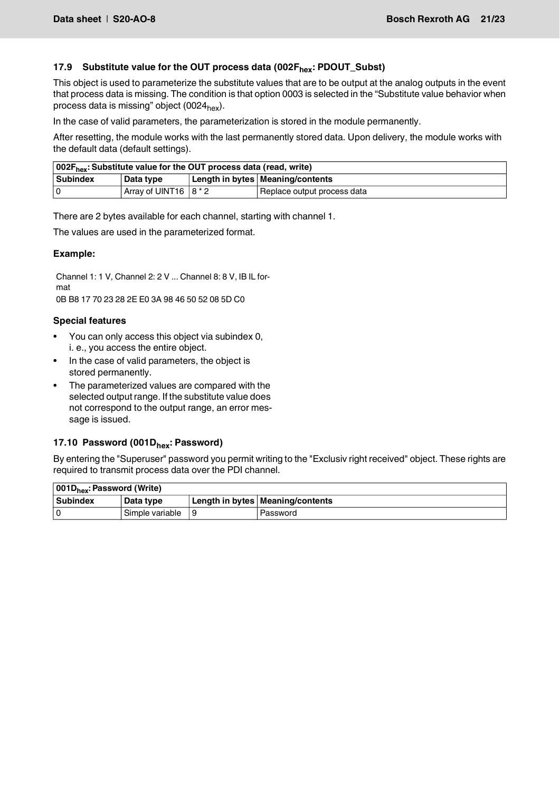## <span id="page-20-1"></span>17.9 Substitute value for the OUT process data (002F<sub>hex</sub>: PDOUT\_Subst)

This object is used to parameterize the substitute values that are to be output at the analog outputs in the event that process data is missing. The condition is that option 0003 is selected in the "Substitute value behavior when process data is missing" object (0024 $_{\text{hex}}$ ).

In the case of valid parameters, the parameterization is stored in the module permanently.

After resetting, the module works with the last permanently stored data. Upon delivery, the module works with the default data (default settings).

| 002F <sub>hex</sub> : Substitute value for the OUT process data (read, write) |                        |  |                                    |  |  |  |  |
|-------------------------------------------------------------------------------|------------------------|--|------------------------------------|--|--|--|--|
| <b>Subindex</b>                                                               | Data type              |  | Length in bytes   Meaning/contents |  |  |  |  |
|                                                                               | Array of UINT16 18 * 2 |  | Replace output process data        |  |  |  |  |

There are 2 bytes available for each channel, starting with channel 1.

The values are used in the parameterized format.

#### **Example:**

Channel 1: 1 V, Channel 2: 2 V ... Channel 8: 8 V, IB IL format

0B B8 17 70 23 28 2E E0 3A 98 46 50 52 08 5D C0

## **Special features**

- You can only access this object via subindex 0, i. e., you access the entire object.
- In the case of valid parameters, the object is stored permanently.
- The parameterized values are compared with the selected output range. If the substitute value does not correspond to the output range, an error message is issued.

## <span id="page-20-0"></span>17.10 Password (001D<sub>hex</sub>: Password)

By entering the "Superuser" password you permit writing to the "Exclusiv right received" object. These rights are required to transmit process data over the PDI channel.

| 001D <sub>hex</sub> : Password (Write) |                 |  |                                    |  |  |  |  |  |
|----------------------------------------|-----------------|--|------------------------------------|--|--|--|--|--|
| <b>Subindex</b>                        | Data type       |  | Length in bytes   Meaning/contents |  |  |  |  |  |
|                                        | Simple variable |  | Password                           |  |  |  |  |  |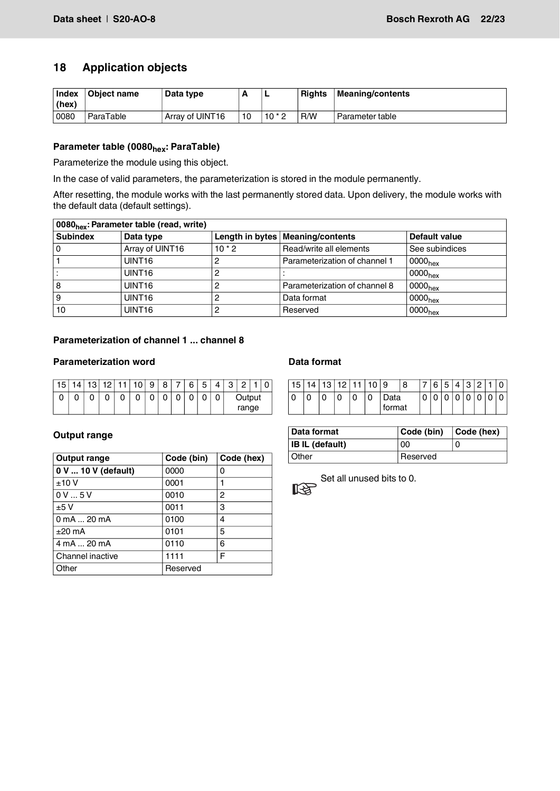# <span id="page-21-0"></span>**18 Application objects**

| Index<br>(hex) | Object name | Data type       |                 |        | <b>Rights</b> | Meaning/contents |
|----------------|-------------|-----------------|-----------------|--------|---------------|------------------|
| 0080           | ParaTable   | Array of UINT16 | 10 <sup>1</sup> | $10*2$ | R/W           | Parameter table  |

# Parameter table (0080<sub>hex</sub>: ParaTable)

Parameterize the module using this object.

In the case of valid parameters, the parameterization is stored in the module permanently.

After resetting, the module works with the last permanently stored data. Upon delivery, the module works with the default data (default settings).

| 0080 <sub>hex</sub> : Parameter table (read, write) |                    |          |                                    |                     |  |  |  |  |  |  |  |
|-----------------------------------------------------|--------------------|----------|------------------------------------|---------------------|--|--|--|--|--|--|--|
| <b>Subindex</b>                                     | Data type          |          | Length in bytes   Meaning/contents | Default value       |  |  |  |  |  |  |  |
|                                                     | Array of UINT16    | $10 * 2$ | Read/write all elements            | See subindices      |  |  |  |  |  |  |  |
|                                                     | UINT <sub>16</sub> |          | Parameterization of channel 1      | 0000 <sub>hex</sub> |  |  |  |  |  |  |  |
|                                                     | UINT <sub>16</sub> |          |                                    | 0000 <sub>hex</sub> |  |  |  |  |  |  |  |
| 8                                                   | UINT <sub>16</sub> |          | Parameterization of channel 8      | 0000 <sub>hex</sub> |  |  |  |  |  |  |  |
|                                                     | UINT <sub>16</sub> |          | Data format                        | 0000 <sub>hex</sub> |  |  |  |  |  |  |  |
| 10                                                  | UINT <sub>16</sub> |          | Reserved                           | 0000 <sub>hex</sub> |  |  |  |  |  |  |  |

## **Parameterization of channel 1 ... channel 8**

#### **Parameterization word**

| כ ו |  | 10 | ın.    | 9      | 8 |        | ี      | 5 | Λ | Q<br>ٮ | C     |  | ⌒ |
|-----|--|----|--------|--------|---|--------|--------|---|---|--------|-------|--|---|
| u   |  |    | ∩<br>u | n<br>◡ | ັ | n<br>u | r<br>u | ◡ | 0 | Output |       |  |   |
|     |  |    |        |        |   |        |        |   |   |        | range |  |   |

## **Output range**

| <b>Output range</b> | Code (bin) | Code (hex) |
|---------------------|------------|------------|
| 0 V  10 V (default) | 0000       | 0          |
| ±10V                | 0001       | 1          |
| 0V5V                | 0010       | 2          |
| ±5V                 | 0011       | 3          |
| 0 mA  20 mA         | 0100       | 4          |
| $±20$ mA            | 0101       | 5          |
| 4 mA  20 mA         | 0110       | 6          |
| Channel inactive    | 1111       | F          |
| Other               | Reserved   |            |

## **Data format**

| 5 | $\overline{10}$ | 10 |   | 9              | 8 |        | 6 | д<br>ັ | C<br>ື | ∩ |  |
|---|-----------------|----|---|----------------|---|--------|---|--------|--------|---|--|
| U | u               | U  | 0 | )ata<br>format |   | r<br>◡ | ັ | u      |        | u |  |

| Data format            | Code (bin)      | $\vert$ Code (hex) |  |  |
|------------------------|-----------------|--------------------|--|--|
| <b>IB IL (default)</b> | 00              |                    |  |  |
| Other                  | <b>Reserved</b> |                    |  |  |